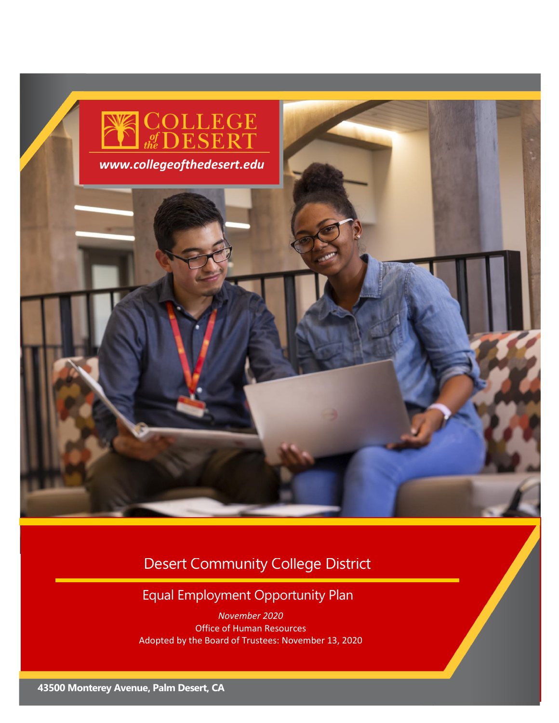

## Desert Community College District

## Equal Employment Opportunity Plan

*November 2020* Office of Human Resources Adopted by the Board of Trustees: November 13, 2020

**92260**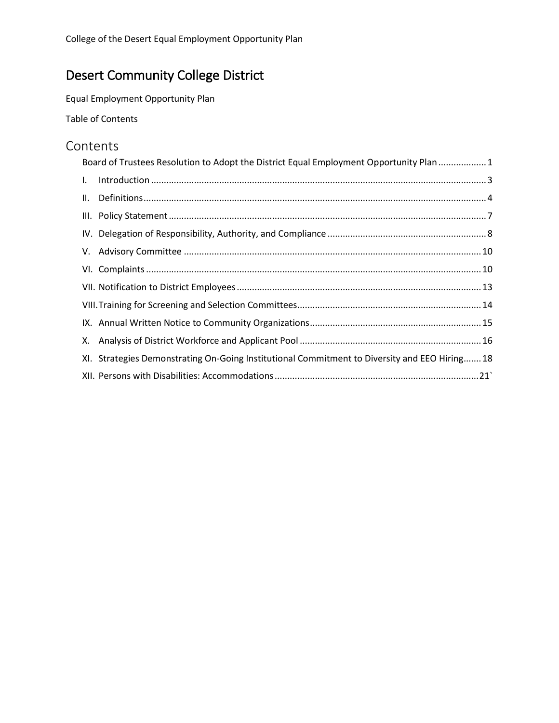## Desert Community College District

Equal Employment Opportunity Plan

Table of Contents

### **Contents**

|              | Board of Trustees Resolution to Adopt the District Equal Employment Opportunity Plan  1      |
|--------------|----------------------------------------------------------------------------------------------|
| $\mathbf{L}$ |                                                                                              |
|              |                                                                                              |
|              |                                                                                              |
|              |                                                                                              |
|              |                                                                                              |
|              |                                                                                              |
|              |                                                                                              |
|              |                                                                                              |
|              |                                                                                              |
|              |                                                                                              |
|              | XI. Strategies Demonstrating On-Going Institutional Commitment to Diversity and EEO Hiring18 |
|              |                                                                                              |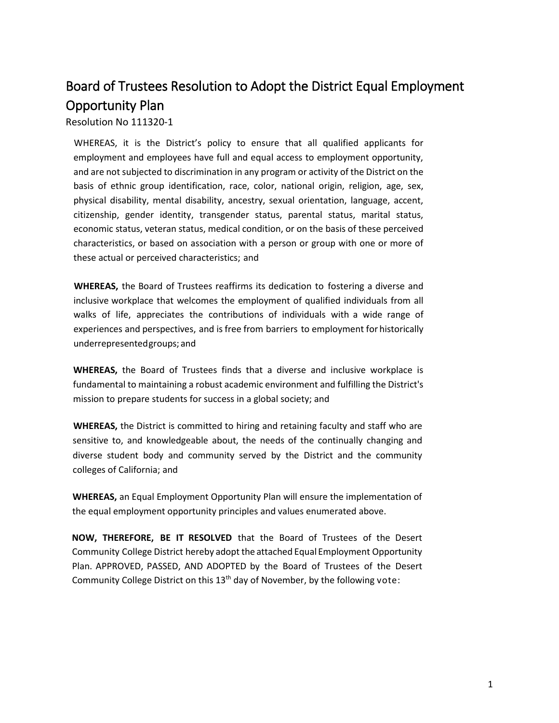## <span id="page-2-0"></span>Board of Trustees Resolution to Adopt the District Equal Employment Opportunity Plan

Resolution No 111320-1

WHEREAS, it is the District's policy to ensure that all qualified applicants for employment and employees have full and equal access to employment opportunity, and are not subjected to discrimination in any program or activity of the District on the basis of ethnic group identification, race, color, national origin, religion, age, sex, physical disability, mental disability, ancestry, sexual orientation, language, accent, citizenship, gender identity, transgender status, parental status, marital status, economic status, veteran status, medical condition, or on the basis of these perceived characteristics, or based on association with a person or group with one or more of these actual or perceived characteristics; and

**WHEREAS,** the Board of Trustees reaffirms its dedication to fostering a diverse and inclusive workplace that welcomes the employment of qualified individuals from all walks of life, appreciates the contributions of individuals with a wide range of experiences and perspectives, and is free from barriers to employment for historically underrepresentedgroups; and

**WHEREAS,** the Board of Trustees finds that a diverse and inclusive workplace is fundamental to maintaining a robust academic environment and fulfilling the District's mission to prepare students for success in a global society; and

**WHEREAS,** the District is committed to hiring and retaining faculty and staff who are sensitive to, and knowledgeable about, the needs of the continually changing and diverse student body and community served by the District and the community colleges of California; and

**WHEREAS,** an Equal Employment Opportunity Plan will ensure the implementation of the equal employment opportunity principles and values enumerated above.

**NOW, THEREFORE, BE IT RESOLVED** that the Board of Trustees of the Desert Community College District hereby adopt the attached Equal Employment Opportunity Plan. APPROVED, PASSED, AND ADOPTED by the Board of Trustees of the Desert Community College District on this  $13<sup>th</sup>$  day of November, by the following vote: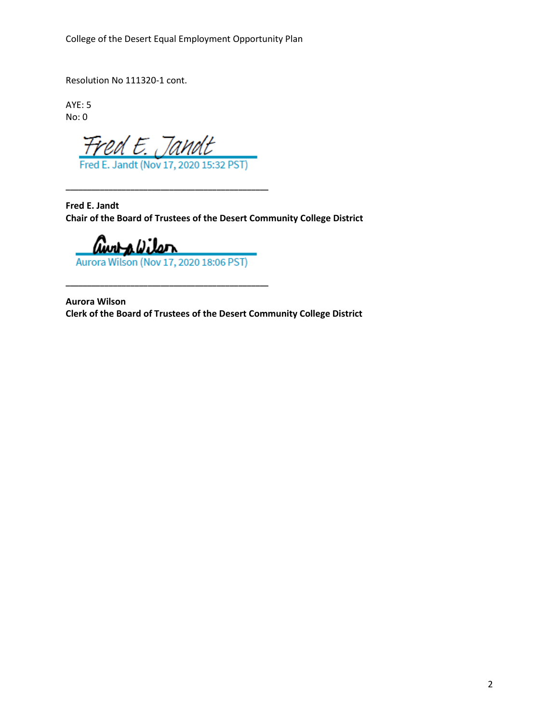College of the Desert Equal Employment Opportunity Plan

Resolution No 111320-1 cont.

AYE: 5 No: 0

Fred E. Jandt

**\_\_\_\_\_\_\_\_\_\_\_\_\_\_\_\_\_\_\_\_\_\_\_\_\_\_\_\_\_\_\_\_\_\_\_\_\_\_\_\_\_\_\_\_\_\_\_**

**Fred E. Jandt Chair of the Board of Trustees of the Desert Community College District**

awra*biter* Aurora Wilson (Nov 17, 2020 18:06 PST)

**\_\_\_\_\_\_\_\_\_\_\_\_\_\_\_\_\_\_\_\_\_\_\_\_\_\_\_\_\_\_\_\_\_\_\_\_\_\_\_\_\_\_\_\_\_\_\_**

**Aurora Wilson Clerk of the Board of Trustees of the Desert Community College District**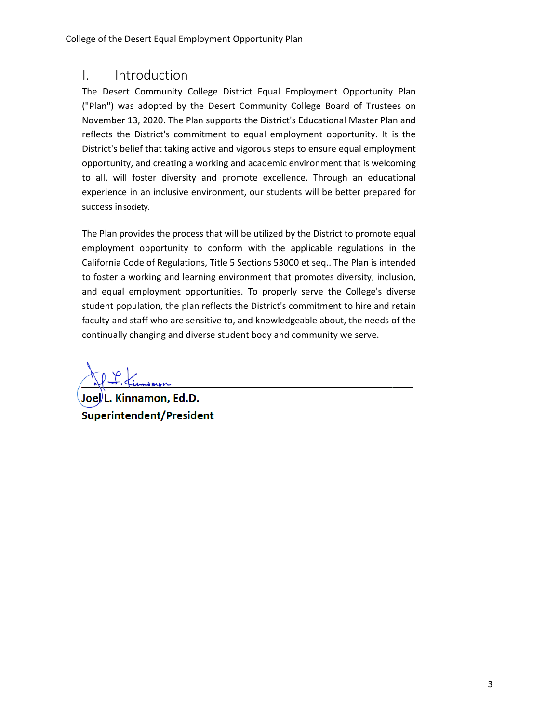### <span id="page-4-0"></span>I. Introduction

The Desert Community College District Equal Employment Opportunity Plan ("Plan") was adopted by the Desert Community College Board of Trustees on November 13, 2020. The Plan supports the District's Educational Master Plan and reflects the District's commitment to equal employment opportunity. It is the District's belief that taking active and vigorous steps to ensure equal employment opportunity, and creating a working and academic environment that is welcoming to all, will foster diversity and promote excellence. Through an educational experience in an inclusive environment, our students will be better prepared for success insociety.

The Plan provides the process that will be utilized by the District to promote equal employment opportunity to conform with the applicable regulations in the California Code of Regulations, Title 5 Sections 53000 et seq.. The Plan is intended to foster a working and learning environment that promotes diversity, inclusion, and equal employment opportunities. To properly serve the College's diverse student population, the plan reflects the District's commitment to hire and retain faculty and staff who are sensitive to, and knowledgeable about, the needs of the continually changing and diverse student body and community we serve.

Joel<sup>)</sup>L. Kinnamon, Ed.D. **Superintendent/President**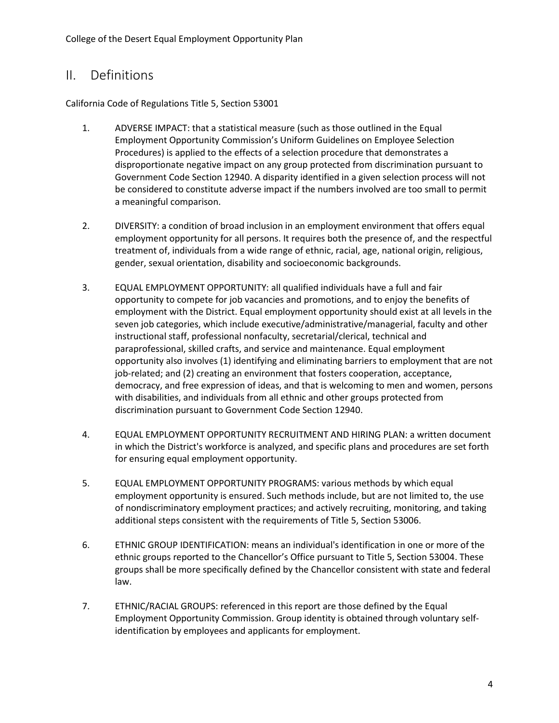## <span id="page-5-0"></span>II. Definitions

California Code of Regulations Title 5, Section 53001

- 1. ADVERSE IMPACT: that a statistical measure (such as those outlined in the Equal Employment Opportunity Commission's Uniform Guidelines on Employee Selection Procedures) is applied to the effects of a selection procedure that demonstrates a disproportionate negative impact on any group protected from discrimination pursuant to Government Code Section 12940. A disparity identified in a given selection process will not be considered to constitute adverse impact if the numbers involved are too small to permit a meaningful comparison.
- 2. DIVERSITY: a condition of broad inclusion in an employment environment that offers equal employment opportunity for all persons. It requires both the presence of, and the respectful treatment of, individuals from a wide range of ethnic, racial, age, national origin, religious, gender, sexual orientation, disability and socioeconomic backgrounds.
- 3. EQUAL EMPLOYMENT OPPORTUNITY: all qualified individuals have a full and fair opportunity to compete for job vacancies and promotions, and to enjoy the benefits of employment with the District. Equal employment opportunity should exist at all levels in the seven job categories, which include executive/administrative/managerial, faculty and other instructional staff, professional nonfaculty, secretarial/clerical, technical and paraprofessional, skilled crafts, and service and maintenance. Equal employment opportunity also involves (1) identifying and eliminating barriers to employment that are not job-related; and (2) creating an environment that fosters cooperation, acceptance, democracy, and free expression of ideas, and that is welcoming to men and women, persons with disabilities, and individuals from all ethnic and other groups protected from discrimination pursuant to Government Code Section 12940.
- 4. EQUAL EMPLOYMENT OPPORTUNITY RECRUITMENT AND HIRING PLAN: a written document in which the District's workforce is analyzed, and specific plans and procedures are set forth for ensuring equal employment opportunity.
- 5. EQUAL EMPLOYMENT OPPORTUNITY PROGRAMS: various methods by which equal employment opportunity is ensured. Such methods include, but are not limited to, the use of nondiscriminatory employment practices; and actively recruiting, monitoring, and taking additional steps consistent with the requirements of Title 5, Section 53006.
- 6. ETHNIC GROUP IDENTIFICATION: means an individual's identification in one or more of the ethnic groups reported to the Chancellor's Office pursuant to Title 5, Section 53004. These groups shall be more specifically defined by the Chancellor consistent with state and federal law.
- 7. ETHNIC/RACIAL GROUPS: referenced in this report are those defined by the Equal Employment Opportunity Commission. Group identity is obtained through voluntary selfidentification by employees and applicants for employment.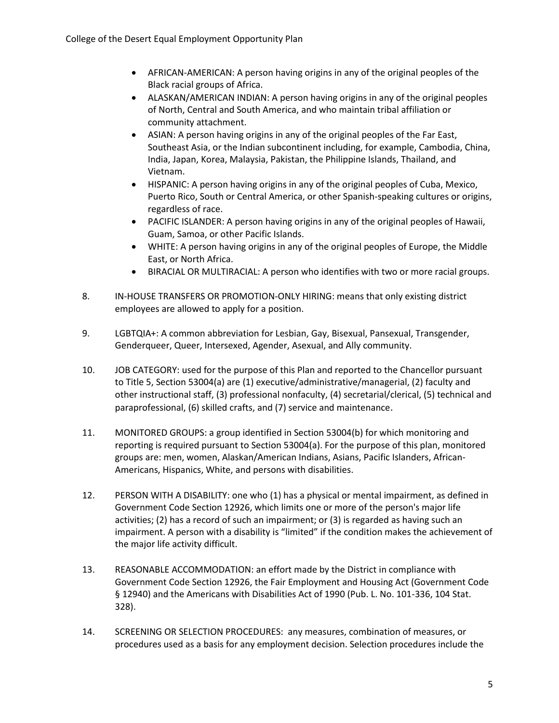- AFRICAN-AMERICAN: A person having origins in any of the original peoples of the Black racial groups of Africa.
- ALASKAN/AMERICAN INDIAN: A person having origins in any of the original peoples of North, Central and South America, and who maintain tribal affiliation or community attachment.
- ASIAN: A person having origins in any of the original peoples of the Far East, Southeast Asia, or the Indian subcontinent including, for example, Cambodia, China, India, Japan, Korea, Malaysia, Pakistan, the Philippine Islands, Thailand, and Vietnam.
- HISPANIC: A person having origins in any of the original peoples of Cuba, Mexico, Puerto Rico, South or Central America, or other Spanish-speaking cultures or origins, regardless of race.
- PACIFIC ISLANDER: A person having origins in any of the original peoples of Hawaii, Guam, Samoa, or other Pacific Islands.
- WHITE: A person having origins in any of the original peoples of Europe, the Middle East, or North Africa.
- BIRACIAL OR MULTIRACIAL: A person who identifies with two or more racial groups.
- 8. IN-HOUSE TRANSFERS OR PROMOTION-ONLY HIRING: means that only existing district employees are allowed to apply for a position.
- 9. LGBTQIA+: A common abbreviation for Lesbian, Gay, Bisexual, Pansexual, Transgender, Genderqueer, Queer, Intersexed, Agender, Asexual, and Ally community.
- 10. JOB CATEGORY: used for the purpose of this Plan and reported to the Chancellor pursuant to Title 5, Section 53004(a) are (1) executive/administrative/managerial, (2) faculty and other instructional staff, (3) professional nonfaculty, (4) secretarial/clerical, (5) technical and paraprofessional, (6) skilled crafts, and (7) service and maintenance.
- 11. MONITORED GROUPS: a group identified in Section 53004(b) for which monitoring and reporting is required pursuant to Section 53004(a). For the purpose of this plan, monitored groups are: men, women, Alaskan/American Indians, Asians, Pacific Islanders, African-Americans, Hispanics, White, and persons with disabilities.
- 12. PERSON WITH A DISABILITY: one who (1) has a physical or mental impairment, as defined in Government Code Section 12926, which limits one or more of the person's major life activities; (2) has a record of such an impairment; or (3) is regarded as having such an impairment. A person with a disability is "limited" if the condition makes the achievement of the major life activity difficult.
- 13. REASONABLE ACCOMMODATION: an effort made by the District in compliance with Government Code Section 12926, the Fair Employment and Housing Act (Government Code § 12940) and the Americans with Disabilities Act of 1990 (Pub. L. No. 101-336, 104 Stat. 328).
- 14. SCREENING OR SELECTION PROCEDURES: any measures, combination of measures, or procedures used as a basis for any employment decision. Selection procedures include the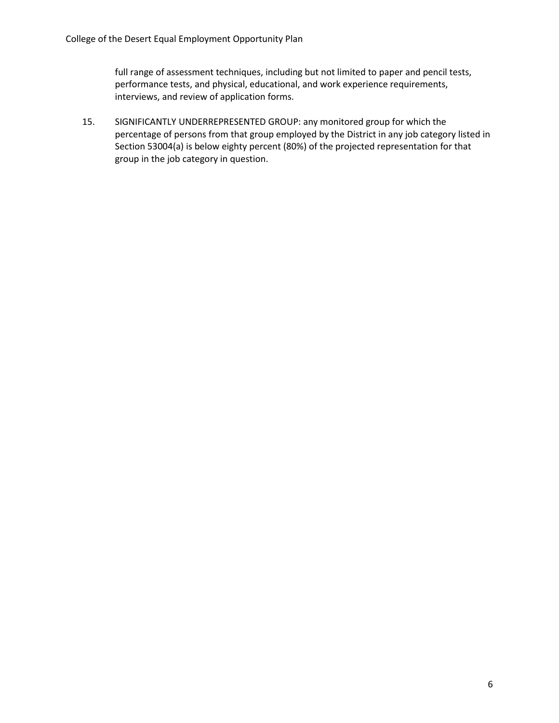full range of assessment techniques, including but not limited to paper and pencil tests, performance tests, and physical, educational, and work experience requirements, interviews, and review of application forms.

15. SIGNIFICANTLY UNDERREPRESENTED GROUP: any monitored group for which the percentage of persons from that group employed by the District in any job category listed in Section 53004(a) is below eighty percent (80%) of the projected representation for that group in the job category in question.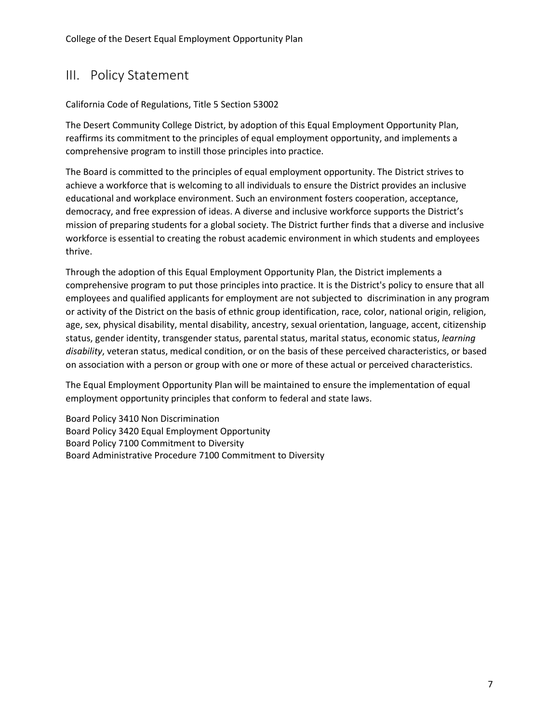## <span id="page-8-0"></span>III. Policy Statement

#### California Code of Regulations, Title 5 Section 53002

The Desert Community College District, by adoption of this Equal Employment Opportunity Plan, reaffirms its commitment to the principles of equal employment opportunity, and implements a comprehensive program to instill those principles into practice.

The Board is committed to the principles of equal employment opportunity. The District strives to achieve a workforce that is welcoming to all individuals to ensure the District provides an inclusive educational and workplace environment. Such an environment fosters cooperation, acceptance, democracy, and free expression of ideas. A diverse and inclusive workforce supports the District's mission of preparing students for a global society. The District further finds that a diverse and inclusive workforce is essential to creating the robust academic environment in which students and employees thrive.

Through the adoption of this Equal Employment Opportunity Plan, the District implements a comprehensive program to put those principles into practice. It is the District's policy to ensure that all employees and qualified applicants for employment are not subjected to discrimination in any program or activity of the District on the basis of ethnic group identification, race, color, national origin, religion, age, sex, physical disability, mental disability, ancestry, sexual orientation, language, accent, citizenship status, gender identity, transgender status, parental status, marital status, economic status, *learning disability*, veteran status, medical condition, or on the basis of these perceived characteristics, or based on association with a person or group with one or more of these actual or perceived characteristics.

The Equal Employment Opportunity Plan will be maintained to ensure the implementation of equal employment opportunity principles that conform to federal and state laws.

Board Policy 3410 Non Discrimination Board Policy 3420 Equal Employment Opportunity Board Policy 7100 Commitment to Diversity Board Administrative Procedure 7100 Commitment to Diversity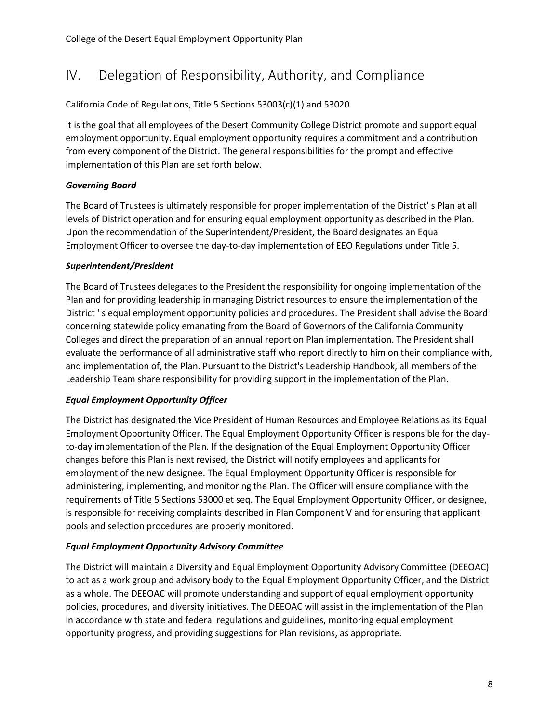## <span id="page-9-0"></span>IV. Delegation of Responsibility, Authority, and Compliance

#### California Code of Regulations, Title 5 Sections 53003(c)(1) and 53020

It is the goal that all employees of the Desert Community College District promote and support equal employment opportunity. Equal employment opportunity requires a commitment and a contribution from every component of the District. The general responsibilities for the prompt and effective implementation of this Plan are set forth below.

#### *Governing Board*

The Board of Trustees is ultimately responsible for proper implementation of the District' s Plan at all levels of District operation and for ensuring equal employment opportunity as described in the Plan. Upon the recommendation of the Superintendent/President, the Board designates an Equal Employment Officer to oversee the day-to-day implementation of EEO Regulations under Title 5.

#### *Superintendent/President*

The Board of Trustees delegates to the President the responsibility for ongoing implementation of the Plan and for providing leadership in managing District resources to ensure the implementation of the District ' s equal employment opportunity policies and procedures. The President shall advise the Board concerning statewide policy emanating from the Board of Governors of the California Community Colleges and direct the preparation of an annual report on Plan implementation. The President shall evaluate the performance of all administrative staff who report directly to him on their compliance with, and implementation of, the Plan. Pursuant to the District's Leadership Handbook, all members of the Leadership Team share responsibility for providing support in the implementation of the Plan.

#### *Equal Employment Opportunity Officer*

The District has designated the Vice President of Human Resources and Employee Relations as its Equal Employment Opportunity Officer. The Equal Employment Opportunity Officer is responsible for the dayto-day implementation of the Plan. If the designation of the Equal Employment Opportunity Officer changes before this Plan is next revised, the District will notify employees and applicants for employment of the new designee. The Equal Employment Opportunity Officer is responsible for administering, implementing, and monitoring the Plan. The Officer will ensure compliance with the requirements of Title 5 Sections 53000 et seq. The Equal Employment Opportunity Officer, or designee, is responsible for receiving complaints described in Plan Component V and for ensuring that applicant pools and selection procedures are properly monitored.

#### *Equal Employment Opportunity Advisory Committee*

The District will maintain a Diversity and Equal Employment Opportunity Advisory Committee (DEEOAC) to act as a work group and advisory body to the Equal Employment Opportunity Officer, and the District as a whole. The DEEOAC will promote understanding and support of equal employment opportunity policies, procedures, and diversity initiatives. The DEEOAC will assist in the implementation of the Plan in accordance with state and federal regulations and guidelines, monitoring equal employment opportunity progress, and providing suggestions for Plan revisions, as appropriate.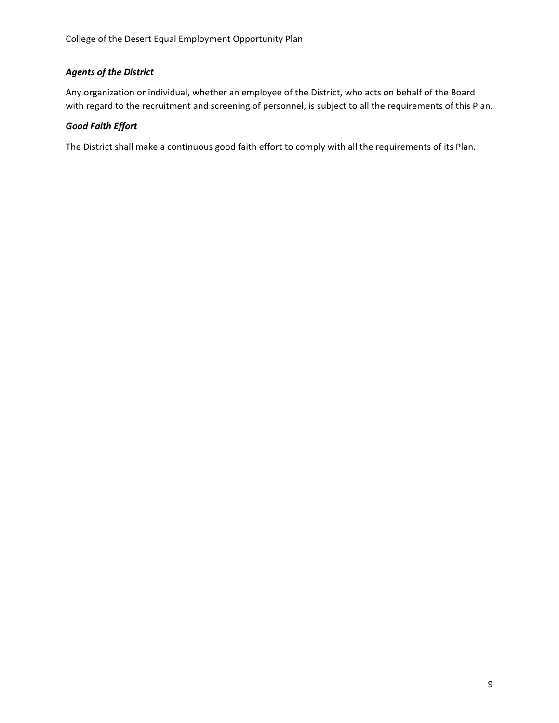#### *Agents of the District*

Any organization or individual, whether an employee of the District, who acts on behalf of the Board with regard to the recruitment and screening of personnel, is subject to all the requirements of this Plan.

#### *Good Faith Effort*

The District shall make a continuous good faith effort to comply with all the requirements of its Plan.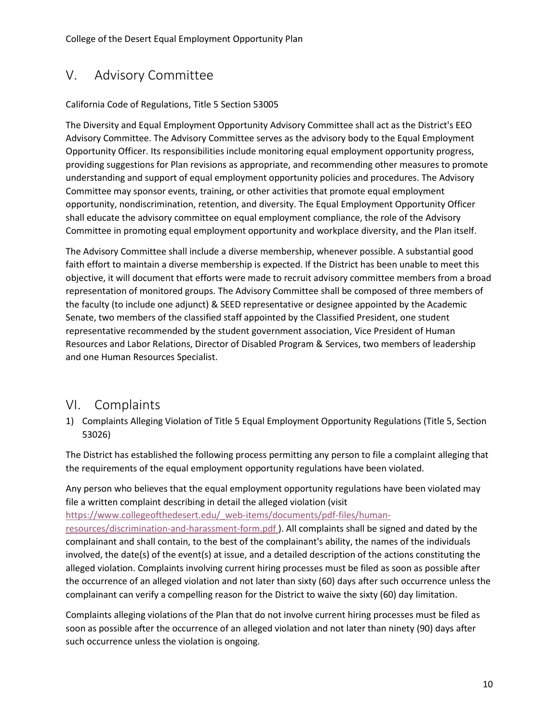## <span id="page-11-0"></span>V. Advisory Committee

#### California Code of Regulations, Title 5 Section 53005

The Diversity and Equal Employment Opportunity Advisory Committee shall act as the District's EEO Advisory Committee. The Advisory Committee serves as the advisory body to the Equal Employment Opportunity Officer. Its responsibilities include monitoring equal employment opportunity progress, providing suggestions for Plan revisions as appropriate, and recommending other measures to promote understanding and support of equal employment opportunity policies and procedures. The Advisory Committee may sponsor events, training, or other activities that promote equal employment opportunity, nondiscrimination, retention, and diversity. The Equal Employment Opportunity Officer shall educate the advisory committee on equal employment compliance, the role of the Advisory Committee in promoting equal employment opportunity and workplace diversity, and the Plan itself.

The Advisory Committee shall include a diverse membership, whenever possible. A substantial good faith effort to maintain a diverse membership is expected. If the District has been unable to meet this objective, it will document that efforts were made to recruit advisory committee members from a broad representation of monitored groups. The Advisory Committee shall be composed of three members of the faculty (to include one adjunct) & SEED representative or designee appointed by the Academic Senate, two members of the classified staff appointed by the Classified President, one student representative recommended by the student government association, Vice President of Human Resources and Labor Relations, Director of Disabled Program & Services, two members of leadership and one Human Resources Specialist.

### <span id="page-11-1"></span>VI. Complaints

1) Complaints Alleging Violation of Title 5 Equal Employment Opportunity Regulations (Title 5, Section 53026)

The District has established the following process permitting any person to file a complaint alleging that the requirements of the equal employment opportunity regulations have been violated.

Any person who believes that the equal employment opportunity regulations have been violated may file a written complaint describing in detail the alleged violation (visit

[https://www.collegeofthedesert.edu/\\_web-items/documents/pdf-files/human-](https://www.collegeofthedesert.edu/_web-items/documents/pdf-files/human-resources/discrimination-and-harassment-form.pdf)

[resources/discrimination-and-harassment-form.pdf \)](https://www.collegeofthedesert.edu/_web-items/documents/pdf-files/human-resources/discrimination-and-harassment-form.pdf). All complaints shall be signed and dated by the complainant and shall contain, to the best of the complainant's ability, the names of the individuals involved, the date(s) of the event(s) at issue, and a detailed description of the actions constituting the alleged violation. Complaints involving current hiring processes must be filed as soon as possible after the occurrence of an alleged violation and not later than sixty (60) days after such occurrence unless the complainant can verify a compelling reason for the District to waive the sixty (60) day limitation.

Complaints alleging violations of the Plan that do not involve current hiring processes must be filed as soon as possible after the occurrence of an alleged violation and not later than ninety (90) days after such occurrence unless the violation is ongoing.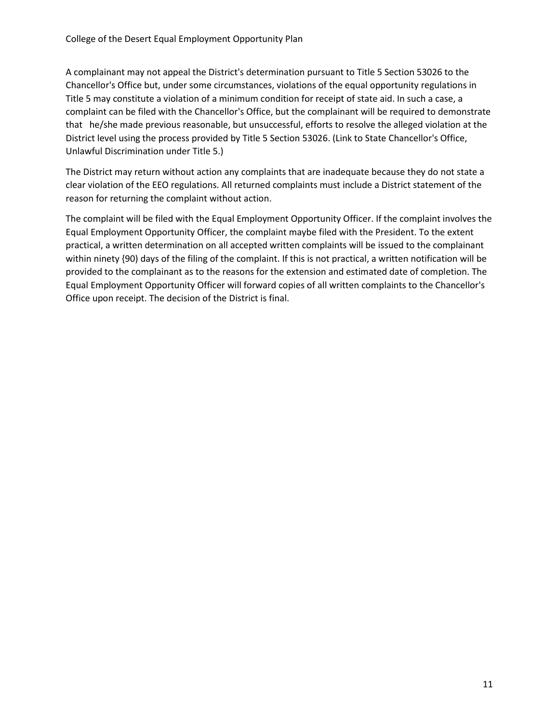A complainant may not appeal the District's determination pursuant to Title 5 Section 53026 to the Chancellor's Office but, under some circumstances, violations of the equal opportunity regulations in Title 5 may constitute a violation of a minimum condition for receipt of state aid. In such a case, a complaint can be filed with the Chancellor's Office, but the complainant will be required to demonstrate that he/she made previous reasonable, but unsuccessful, efforts to resolve the alleged violation at the District level using the process provided by Title 5 Section 53026. (Link to State Chancellor's Office, Unlawful Discrimination under Title 5.)

The District may return without action any complaints that are inadequate because they do not state a clear violation of the EEO regulations. All returned complaints must include a District statement of the reason for returning the complaint without action.

The complaint will be filed with the Equal Employment Opportunity Officer. If the complaint involves the Equal Employment Opportunity Officer, the complaint maybe filed with the President. To the extent practical, a written determination on all accepted written complaints will be issued to the complainant within ninety {90) days of the filing of the complaint. If this is not practical, a written notification will be provided to the complainant as to the reasons for the extension and estimated date of completion. The Equal Employment Opportunity Officer will forward copies of all written complaints to the Chancellor's Office upon receipt. The decision of the District is final.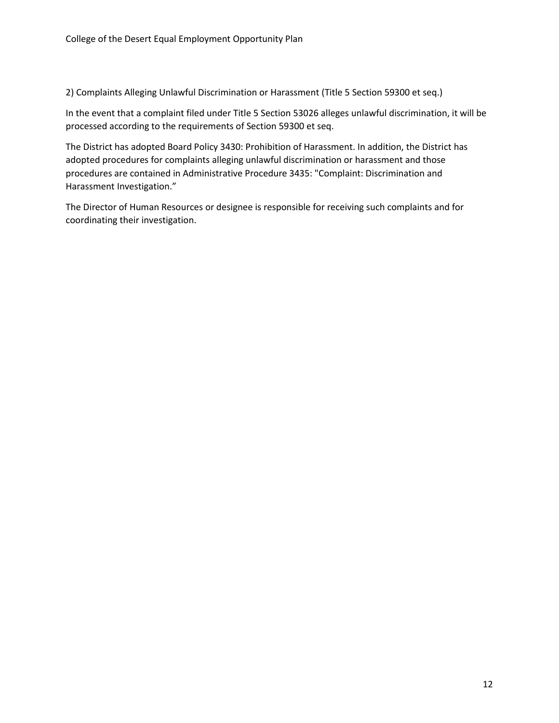2) Complaints Alleging Unlawful Discrimination or Harassment (Title 5 Section 59300 et seq.)

In the event that a complaint filed under Title 5 Section 53026 alleges unlawful discrimination, it will be processed according to the requirements of Section 59300 et seq.

The District has adopted Board Policy 3430: Prohibition of Harassment. In addition, the District has adopted procedures for complaints alleging unlawful discrimination or harassment and those procedures are contained in Administrative Procedure 3435: "Complaint: Discrimination and Harassment Investigation."

The Director of Human Resources or designee is responsible for receiving such complaints and for coordinating their investigation.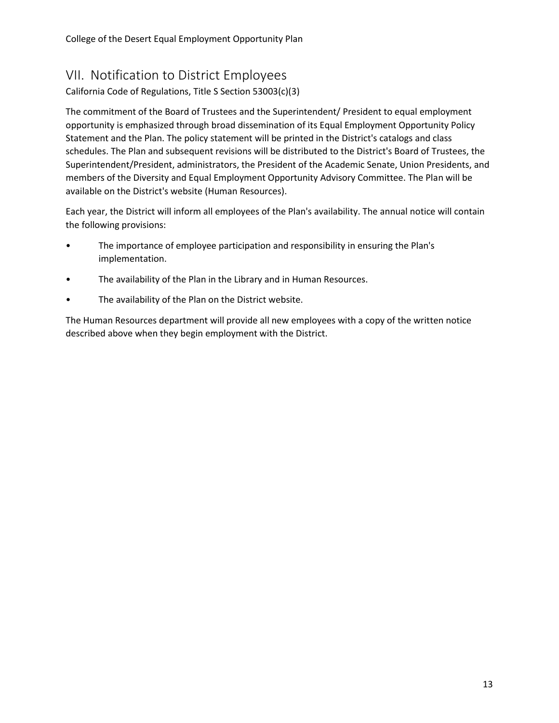College of the Desert Equal Employment Opportunity Plan

### <span id="page-14-0"></span>VII. Notification to District Employees

California Code of Regulations, Title S Section 53003(c)(3)

The commitment of the Board of Trustees and the Superintendent/ President to equal employment opportunity is emphasized through broad dissemination of its Equal Employment Opportunity Policy Statement and the Plan. The policy statement will be printed in the District's catalogs and class schedules. The Plan and subsequent revisions will be distributed to the District's Board of Trustees, the Superintendent/President, administrators, the President of the Academic Senate, Union Presidents, and members of the Diversity and Equal Employment Opportunity Advisory Committee. The Plan will be available on the District's website (Human Resources).

Each year, the District will inform all employees of the Plan's availability. The annual notice will contain the following provisions:

- The importance of employee participation and responsibility in ensuring the Plan's implementation.
- The availability of the Plan in the Library and in Human Resources.
- The availability of the Plan on the District website.

The Human Resources department will provide all new employees with a copy of the written notice described above when they begin employment with the District.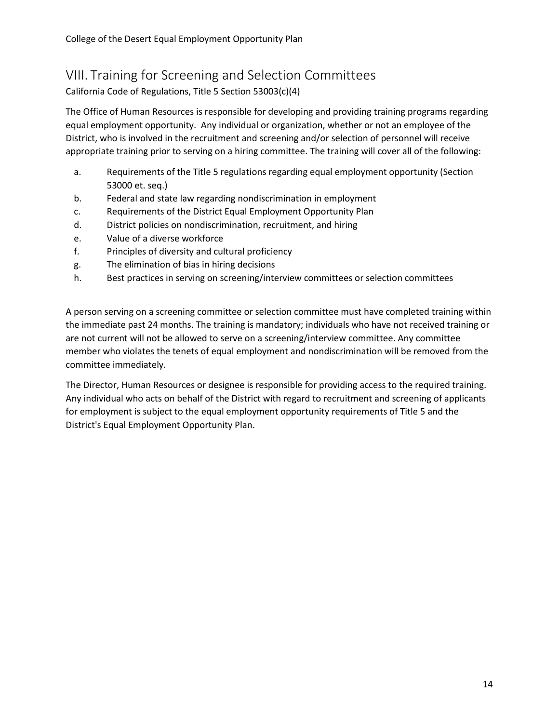## <span id="page-15-0"></span>VIII. Training for Screening and Selection Committees

California Code of Regulations, Title 5 Section 53003(c)(4)

The Office of Human Resources is responsible for developing and providing training programs regarding equal employment opportunity. Any individual or organization, whether or not an employee of the District, who is involved in the recruitment and screening and/or selection of personnel will receive appropriate training prior to serving on a hiring committee. The training will cover all of the following:

- a. Requirements of the Title 5 regulations regarding equal employment opportunity (Section 53000 et. seq.)
- b. Federal and state law regarding nondiscrimination in employment
- c. Requirements of the District Equal Employment Opportunity Plan
- d. District policies on nondiscrimination, recruitment, and hiring
- e. Value of a diverse workforce
- f. Principles of diversity and cultural proficiency
- g. The elimination of bias in hiring decisions
- h. Best practices in serving on screening/interview committees or selection committees

A person serving on a screening committee or selection committee must have completed training within the immediate past 24 months. The training is mandatory; individuals who have not received training or are not current will not be allowed to serve on a screening/interview committee. Any committee member who violates the tenets of equal employment and nondiscrimination will be removed from the committee immediately.

The Director, Human Resources or designee is responsible for providing access to the required training. Any individual who acts on behalf of the District with regard to recruitment and screening of applicants for employment is subject to the equal employment opportunity requirements of Title 5 and the District's Equal Employment Opportunity Plan.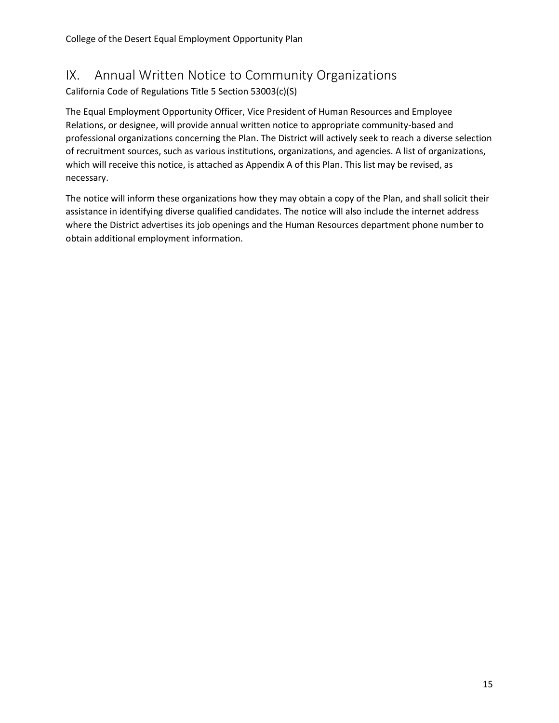## <span id="page-16-0"></span>IX. Annual Written Notice to Community Organizations

California Code of Regulations Title 5 Section 53003(c)(S)

The Equal Employment Opportunity Officer, Vice President of Human Resources and Employee Relations, or designee, will provide annual written notice to appropriate community-based and professional organizations concerning the Plan. The District will actively seek to reach a diverse selection of recruitment sources, such as various institutions, organizations, and agencies. A list of organizations, which will receive this notice, is attached as Appendix A of this Plan. This list may be revised, as necessary.

The notice will inform these organizations how they may obtain a copy of the Plan, and shall solicit their assistance in identifying diverse qualified candidates. The notice will also include the internet address where the District advertises its job openings and the Human Resources department phone number to obtain additional employment information.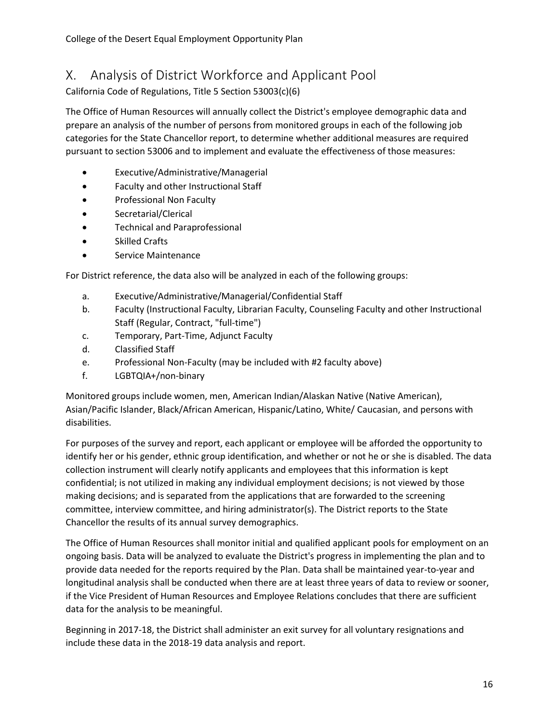## <span id="page-17-0"></span>X. Analysis of District Workforce and Applicant Pool

California Code of Regulations, Title 5 Section 53003(c)(6)

The Office of Human Resources will annually collect the District's employee demographic data and prepare an analysis of the number of persons from monitored groups in each of the following job categories for the State Chancellor report, to determine whether additional measures are required pursuant to section 53006 and to implement and evaluate the effectiveness of those measures:

- Executive/Administrative/Managerial
- Faculty and other Instructional Staff
- Professional Non Faculty
- Secretarial/Clerical
- Technical and Paraprofessional
- Skilled Crafts
- Service Maintenance

For District reference, the data also will be analyzed in each of the following groups:

- a. Executive/Administrative/Managerial/Confidential Staff
- b. Faculty (Instructional Faculty, Librarian Faculty, Counseling Faculty and other Instructional Staff (Regular, Contract, "full-time")
- c. Temporary, Part-Time, Adjunct Faculty
- d. Classified Staff
- e. Professional Non-Faculty (may be included with #2 faculty above)
- f. LGBTQIA+/non-binary

Monitored groups include women, men, American Indian/Alaskan Native (Native American), Asian/Pacific Islander, Black/African American, Hispanic/Latino, White/ Caucasian, and persons with disabilities.

For purposes of the survey and report, each applicant or employee will be afforded the opportunity to identify her or his gender, ethnic group identification, and whether or not he or she is disabled. The data collection instrument will clearly notify applicants and employees that this information is kept confidential; is not utilized in making any individual employment decisions; is not viewed by those making decisions; and is separated from the applications that are forwarded to the screening committee, interview committee, and hiring administrator(s). The District reports to the State Chancellor the results of its annual survey demographics.

The Office of Human Resources shall monitor initial and qualified applicant pools for employment on an ongoing basis. Data will be analyzed to evaluate the District's progress in implementing the plan and to provide data needed for the reports required by the Plan. Data shall be maintained year-to-year and longitudinal analysis shall be conducted when there are at least three years of data to review or sooner, if the Vice President of Human Resources and Employee Relations concludes that there are sufficient data for the analysis to be meaningful.

Beginning in 2017-18, the District shall administer an exit survey for all voluntary resignations and include these data in the 2018-19 data analysis and report.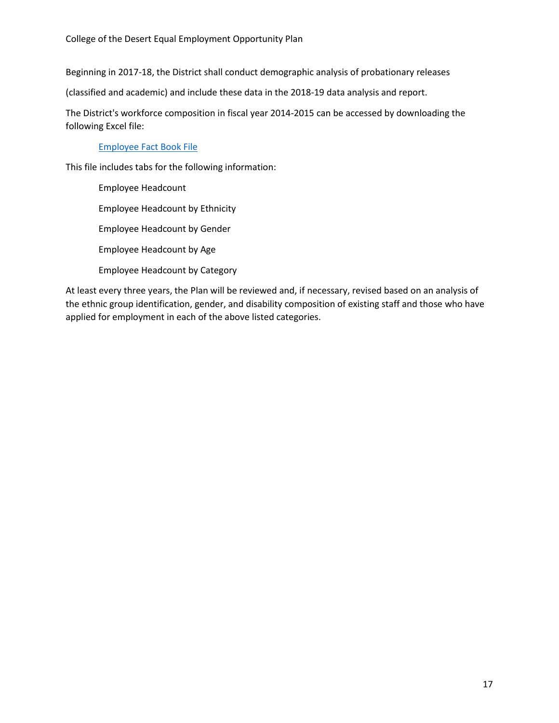Beginning in 2017-18, the District shall conduct demographic analysis of probationary releases

(classified and academic) and include these data in the 2018-19 data analysis and report.

The District's workforce composition in fiscal year 2014-2015 can be accessed by downloading the following Excel file:

#### [Employee Fact Book File](https://www.collegeofthedesert.edu/_web-items/documents/excel-files/research/factbook/employee.xlsx)

This file includes tabs for the following information:

Employee Headcount Employee Headcount by Ethnicity Employee Headcount by Gender Employee Headcount by Age Employee Headcount by Category

At least every three years, the Plan will be reviewed and, if necessary, revised based on an analysis of the ethnic group identification, gender, and disability composition of existing staff and those who have applied for employment in each of the above listed categories.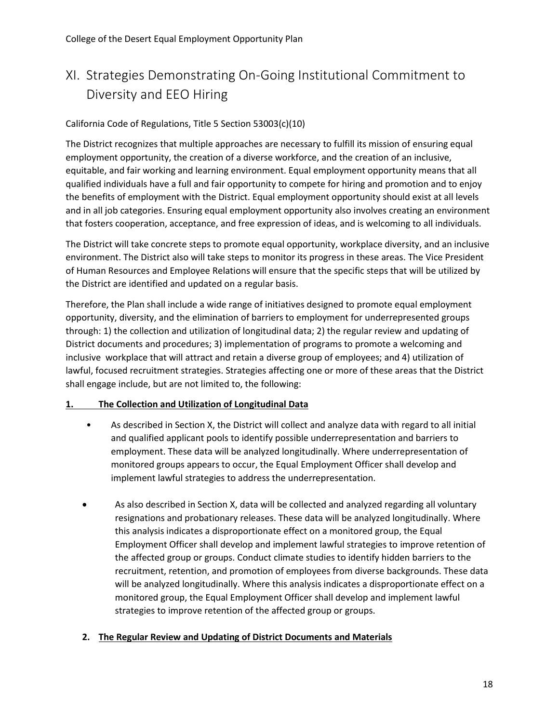## <span id="page-19-0"></span>XI. Strategies Demonstrating On-Going Institutional Commitment to Diversity and EEO Hiring

#### California Code of Regulations, Title 5 Section 53003(c)(10)

The District recognizes that multiple approaches are necessary to fulfill its mission of ensuring equal employment opportunity, the creation of a diverse workforce, and the creation of an inclusive, equitable, and fair working and learning environment. Equal employment opportunity means that all qualified individuals have a full and fair opportunity to compete for hiring and promotion and to enjoy the benefits of employment with the District. Equal employment opportunity should exist at all levels and in all job categories. Ensuring equal employment opportunity also involves creating an environment that fosters cooperation, acceptance, and free expression of ideas, and is welcoming to all individuals.

The District will take concrete steps to promote equal opportunity, workplace diversity, and an inclusive environment. The District also will take steps to monitor its progress in these areas. The Vice President of Human Resources and Employee Relations will ensure that the specific steps that will be utilized by the District are identified and updated on a regular basis.

Therefore, the Plan shall include a wide range of initiatives designed to promote equal employment opportunity, diversity, and the elimination of barriers to employment for underrepresented groups through: 1) the collection and utilization of longitudinal data; 2) the regular review and updating of District documents and procedures; 3) implementation of programs to promote a welcoming and inclusive workplace that will attract and retain a diverse group of employees; and 4) utilization of lawful, focused recruitment strategies. Strategies affecting one or more of these areas that the District shall engage include, but are not limited to, the following:

#### **1. The Collection and Utilization of Longitudinal Data**

- As described in Section X, the District will collect and analyze data with regard to all initial and qualified applicant pools to identify possible underrepresentation and barriers to employment. These data will be analyzed longitudinally. Where underrepresentation of monitored groups appears to occur, the Equal Employment Officer shall develop and implement lawful strategies to address the underrepresentation.
- As also described in Section X, data will be collected and analyzed regarding all voluntary resignations and probationary releases. These data will be analyzed longitudinally. Where this analysis indicates a disproportionate effect on a monitored group, the Equal Employment Officer shall develop and implement lawful strategies to improve retention of the affected group or groups. Conduct climate studies to identify hidden barriers to the recruitment, retention, and promotion of employees from diverse backgrounds. These data will be analyzed longitudinally. Where this analysis indicates a disproportionate effect on a monitored group, the Equal Employment Officer shall develop and implement lawful strategies to improve retention of the affected group or groups.

#### **2. The Regular Review and Updating of District Documents and Materials**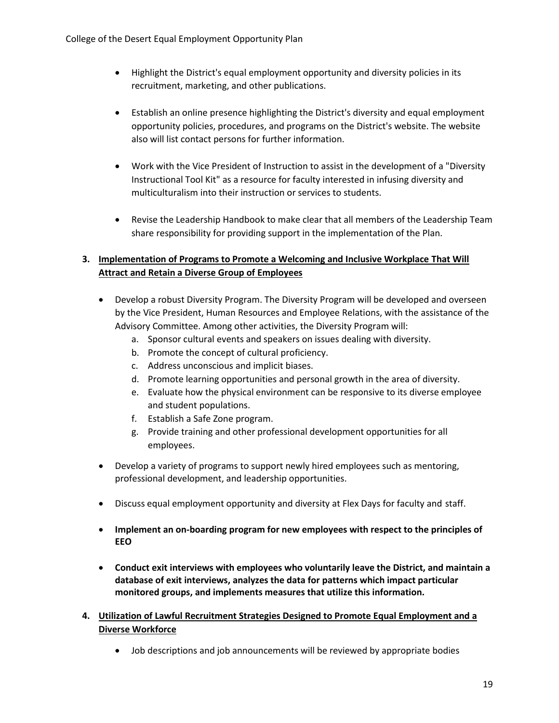- Highlight the District's equal employment opportunity and diversity policies in its recruitment, marketing, and other publications.
- Establish an online presence highlighting the District's diversity and equal employment opportunity policies, procedures, and programs on the District's website. The website also will list contact persons for further information.
- Work with the Vice President of Instruction to assist in the development of a "Diversity Instructional Tool Kit" as a resource for faculty interested in infusing diversity and multiculturalism into their instruction or services to students.
- Revise the Leadership Handbook to make clear that all members of the Leadership Team share responsibility for providing support in the implementation of the Plan.

#### **3. Implementation of Programs to Promote a Welcoming and Inclusive Workplace That Will Attract and Retain a Diverse Group of Employees**

- Develop a robust Diversity Program. The Diversity Program will be developed and overseen by the Vice President, Human Resources and Employee Relations, with the assistance of the Advisory Committee. Among other activities, the Diversity Program will:
	- a. Sponsor cultural events and speakers on issues dealing with diversity.
	- b. Promote the concept of cultural proficiency.
	- c. Address unconscious and implicit biases.
	- d. Promote learning opportunities and personal growth in the area of diversity.
	- e. Evaluate how the physical environment can be responsive to its diverse employee and student populations.
	- f. Establish a Safe Zone program.
	- g. Provide training and other professional development opportunities for all employees.
- Develop a variety of programs to support newly hired employees such as mentoring, professional development, and leadership opportunities.
- Discuss equal employment opportunity and diversity at Flex Days for faculty and staff.
- **Implement an on-boarding program for new employees with respect to the principles of EEO**
- **Conduct exit interviews with employees who voluntarily leave the District, and maintain a database of exit interviews, analyzes the data for patterns which impact particular monitored groups, and implements measures that utilize this information.**
- **4. Utilization of Lawful Recruitment Strategies Designed to Promote Equal Employment and a Diverse Workforce**
	- Job descriptions and job announcements will be reviewed by appropriate bodies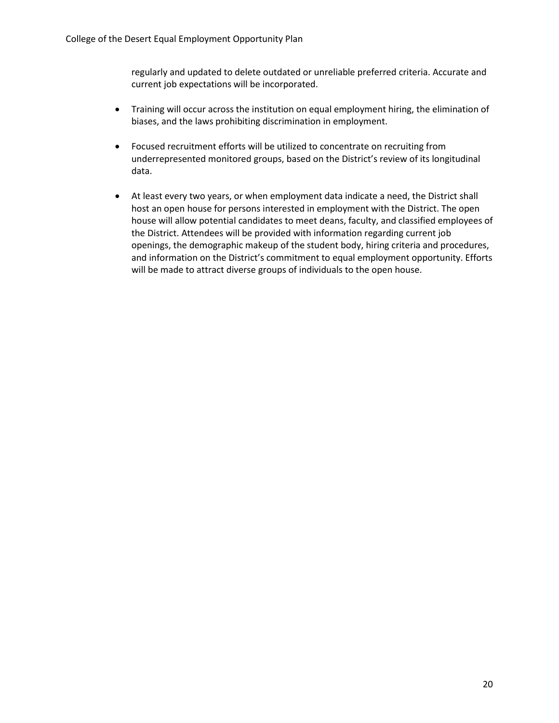regularly and updated to delete outdated or unreliable preferred criteria. Accurate and current job expectations will be incorporated.

- Training will occur across the institution on equal employment hiring, the elimination of biases, and the laws prohibiting discrimination in employment.
- Focused recruitment efforts will be utilized to concentrate on recruiting from underrepresented monitored groups, based on the District's review of its longitudinal data.
- At least every two years, or when employment data indicate a need, the District shall host an open house for persons interested in employment with the District. The open house will allow potential candidates to meet deans, faculty, and classified employees of the District. Attendees will be provided with information regarding current job openings, the demographic makeup of the student body, hiring criteria and procedures, and information on the District's commitment to equal employment opportunity. Efforts will be made to attract diverse groups of individuals to the open house.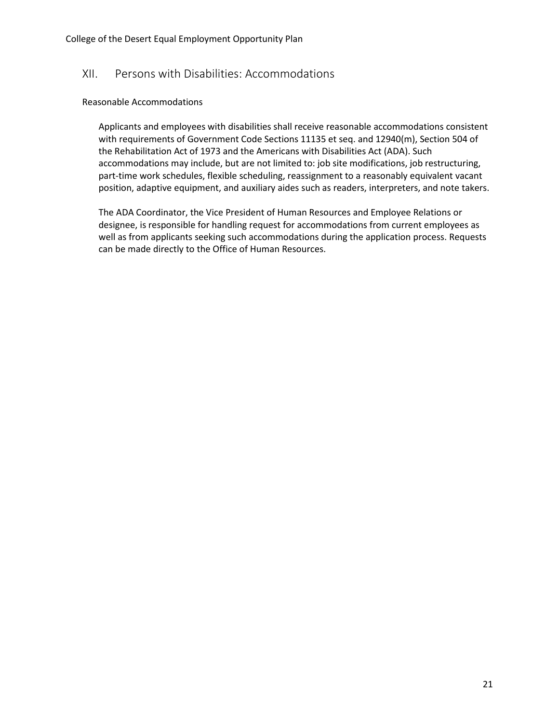#### <span id="page-22-0"></span>XII. Persons with Disabilities: Accommodations

#### Reasonable Accommodations

Applicants and employees with disabilities shall receive reasonable accommodations consistent with requirements of Government Code Sections 11135 et seq. and 12940(m), Section 504 of the Rehabilitation Act of 1973 and the Americans with Disabilities Act (ADA). Such accommodations may include, but are not limited to: job site modifications, job restructuring, part-time work schedules, flexible scheduling, reassignment to a reasonably equivalent vacant position, adaptive equipment, and auxiliary aides such as readers, interpreters, and note takers.

The ADA Coordinator, the Vice President of Human Resources and Employee Relations or designee, is responsible for handling request for accommodations from current employees as well as from applicants seeking such accommodations during the application process. Requests can be made directly to the Office of Human Resources.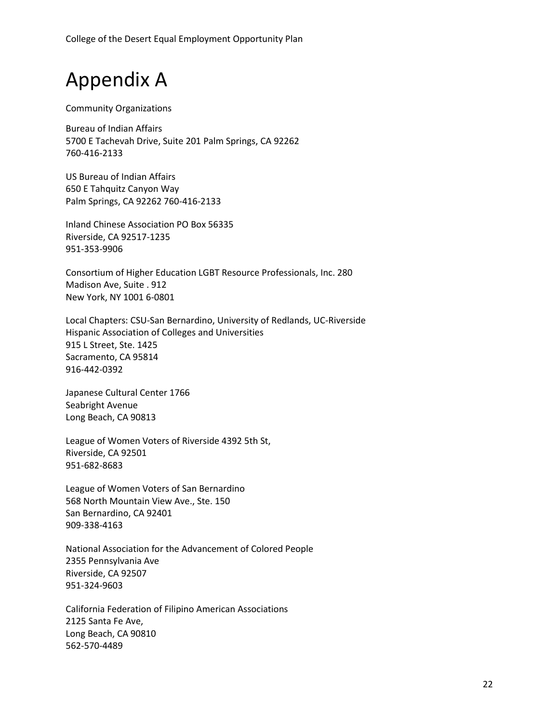College of the Desert Equal Employment Opportunity Plan

# Appendix A

Community Organizations

Bureau of Indian Affairs 5700 E Tachevah Drive, Suite 201 Palm Springs, CA 92262 760-416-2133

US Bureau of Indian Affairs 650 E Tahquitz Canyon Way Palm Springs, CA 92262 760-416-2133

Inland Chinese Association PO Box 56335 Riverside, CA 92517-1235 951-353-9906

Consortium of Higher Education LGBT Resource Professionals, Inc. 280 Madison Ave, Suite . 912 New York, NY 1001 6-0801

Local Chapters: CSU-San Bernardino, University of Redlands, UC-Riverside Hispanic Association of Colleges and Universities 915 L Street, Ste. 1425 Sacramento, CA 95814 916-442-0392

Japanese Cultural Center 1766 Seabright Avenue Long Beach, CA 90813

League of Women Voters of Riverside 4392 5th St, Riverside, CA 92501 951-682-8683

League of Women Voters of San Bernardino 568 North Mountain View Ave., Ste. 150 San Bernardino, CA 92401 909-338-4163

National Association for the Advancement of Colored People 2355 Pennsylvania Ave Riverside, CA 92507 951-324-9603

California Federation of Filipino American Associations 2125 Santa Fe Ave, Long Beach, CA 90810 562-570-4489